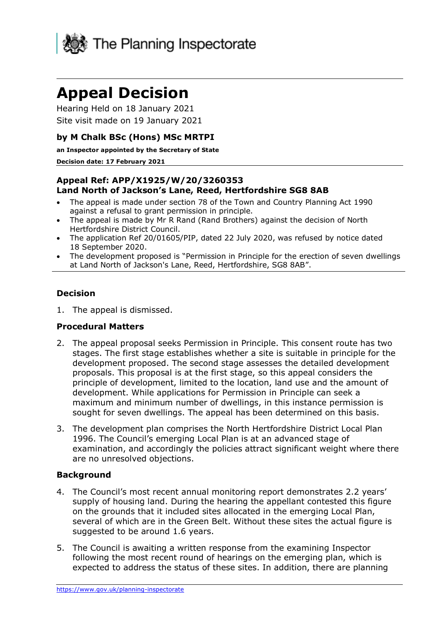

# **Appeal Decision**

Hearing Held on 18 January 2021 Site visit made on 19 January 2021

## **by M Chalk BSc (Hons) MSc MRTPI**

**an Inspector appointed by the Secretary of State**

#### **Decision date: 17 February 2021**

### **Appeal Ref: APP/X1925/W/20/3260353 Land North of Jackson's Lane, Reed, Hertfordshire SG8 8AB**

- The appeal is made under section 78 of the Town and Country Planning Act 1990 against a refusal to grant permission in principle.
- The appeal is made by Mr R Rand (Rand Brothers) against the decision of North Hertfordshire District Council.
- The application Ref 20/01605/PIP, dated 22 July 2020, was refused by notice dated 18 September 2020.
- The development proposed is "Permission in Principle for the erection of seven dwellings at Land North of Jackson's Lane, Reed, Hertfordshire, SG8 8AB".

## **Decision**

1. The appeal is dismissed.

### **Procedural Matters**

- 2. The appeal proposal seeks Permission in Principle. This consent route has two stages. The first stage establishes whether a site is suitable in principle for the development proposed. The second stage assesses the detailed development proposals. This proposal is at the first stage, so this appeal considers the principle of development, limited to the location, land use and the amount of development. While applications for Permission in Principle can seek a maximum and minimum number of dwellings, in this instance permission is sought for seven dwellings. The appeal has been determined on this basis.
- 3. The development plan comprises the North Hertfordshire District Local Plan 1996. The Council's emerging Local Plan is at an advanced stage of examination, and accordingly the policies attract significant weight where there are no unresolved objections.

### **Background**

- 4. The Council's most recent annual monitoring report demonstrates 2.2 years' supply of housing land. During the hearing the appellant contested this figure on the grounds that it included sites allocated in the emerging Local Plan, several of which are in the Green Belt. Without these sites the actual figure is suggested to be around 1.6 years.
- 5. The Council is awaiting a written response from the examining Inspector following the most recent round of hearings on the emerging plan, which is expected to address the status of these sites. In addition, there are planning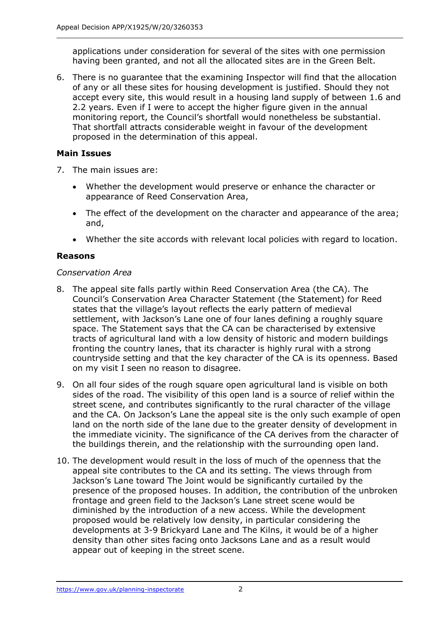applications under consideration for several of the sites with one permission having been granted, and not all the allocated sites are in the Green Belt.

6. There is no guarantee that the examining Inspector will find that the allocation of any or all these sites for housing development is justified. Should they not accept every site, this would result in a housing land supply of between 1.6 and 2.2 years. Even if I were to accept the higher figure given in the annual monitoring report, the Council's shortfall would nonetheless be substantial. That shortfall attracts considerable weight in favour of the development proposed in the determination of this appeal.

## **Main Issues**

- 7. The main issues are:
	- Whether the development would preserve or enhance the character or appearance of Reed Conservation Area,
	- The effect of the development on the character and appearance of the area; and,
	- Whether the site accords with relevant local policies with regard to location.

### **Reasons**

### *Conservation Area*

- 8. The appeal site falls partly within Reed Conservation Area (the CA). The Council's Conservation Area Character Statement (the Statement) for Reed states that the village's layout reflects the early pattern of medieval settlement, with Jackson's Lane one of four lanes defining a roughly square space. The Statement says that the CA can be characterised by extensive tracts of agricultural land with a low density of historic and modern buildings fronting the country lanes, that its character is highly rural with a strong countryside setting and that the key character of the CA is its openness. Based on my visit I seen no reason to disagree.
- 9. On all four sides of the rough square open agricultural land is visible on both sides of the road. The visibility of this open land is a source of relief within the street scene, and contributes significantly to the rural character of the village and the CA. On Jackson's Lane the appeal site is the only such example of open land on the north side of the lane due to the greater density of development in the immediate vicinity. The significance of the CA derives from the character of the buildings therein, and the relationship with the surrounding open land.
- 10. The development would result in the loss of much of the openness that the appeal site contributes to the CA and its setting. The views through from Jackson's Lane toward The Joint would be significantly curtailed by the presence of the proposed houses. In addition, the contribution of the unbroken frontage and green field to the Jackson's Lane street scene would be diminished by the introduction of a new access. While the development proposed would be relatively low density, in particular considering the developments at 3-9 Brickyard Lane and The Kilns, it would be of a higher density than other sites facing onto Jacksons Lane and as a result would appear out of keeping in the street scene.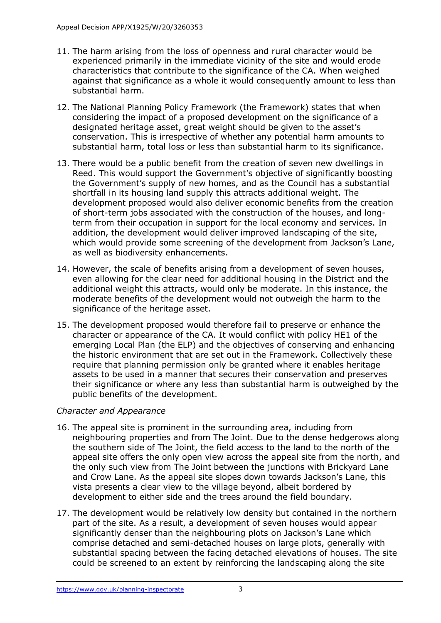- 11. The harm arising from the loss of openness and rural character would be experienced primarily in the immediate vicinity of the site and would erode characteristics that contribute to the significance of the CA. When weighed against that significance as a whole it would consequently amount to less than substantial harm.
- 12. The National Planning Policy Framework (the Framework) states that when considering the impact of a proposed development on the significance of a designated heritage asset, great weight should be given to the asset's conservation. This is irrespective of whether any potential harm amounts to substantial harm, total loss or less than substantial harm to its significance.
- 13. There would be a public benefit from the creation of seven new dwellings in Reed. This would support the Government's objective of significantly boosting the Government's supply of new homes, and as the Council has a substantial shortfall in its housing land supply this attracts additional weight. The development proposed would also deliver economic benefits from the creation of short-term jobs associated with the construction of the houses, and longterm from their occupation in support for the local economy and services. In addition, the development would deliver improved landscaping of the site, which would provide some screening of the development from Jackson's Lane, as well as biodiversity enhancements.
- 14. However, the scale of benefits arising from a development of seven houses, even allowing for the clear need for additional housing in the District and the additional weight this attracts, would only be moderate. In this instance, the moderate benefits of the development would not outweigh the harm to the significance of the heritage asset.
- 15. The development proposed would therefore fail to preserve or enhance the character or appearance of the CA. It would conflict with policy HE1 of the emerging Local Plan (the ELP) and the objectives of conserving and enhancing the historic environment that are set out in the Framework. Collectively these require that planning permission only be granted where it enables heritage assets to be used in a manner that secures their conservation and preserves their significance or where any less than substantial harm is outweighed by the public benefits of the development.

## *Character and Appearance*

- 16. The appeal site is prominent in the surrounding area, including from neighbouring properties and from The Joint. Due to the dense hedgerows along the southern side of The Joint, the field access to the land to the north of the appeal site offers the only open view across the appeal site from the north, and the only such view from The Joint between the junctions with Brickyard Lane and Crow Lane. As the appeal site slopes down towards Jackson's Lane, this vista presents a clear view to the village beyond, albeit bordered by development to either side and the trees around the field boundary.
- 17. The development would be relatively low density but contained in the northern part of the site. As a result, a development of seven houses would appear significantly denser than the neighbouring plots on Jackson's Lane which comprise detached and semi-detached houses on large plots, generally with substantial spacing between the facing detached elevations of houses. The site could be screened to an extent by reinforcing the landscaping along the site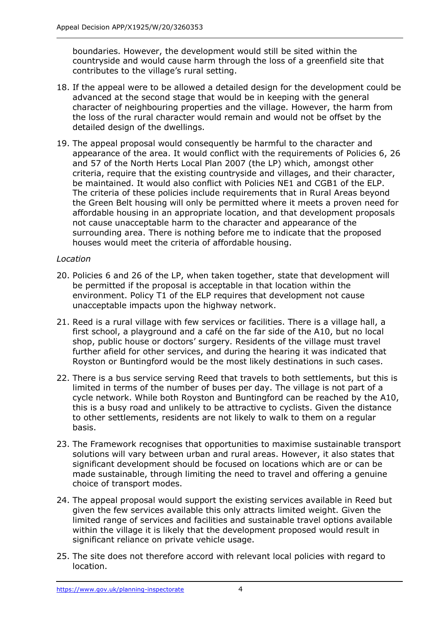boundaries. However, the development would still be sited within the countryside and would cause harm through the loss of a greenfield site that contributes to the village's rural setting.

- 18. If the appeal were to be allowed a detailed design for the development could be advanced at the second stage that would be in keeping with the general character of neighbouring properties and the village. However, the harm from the loss of the rural character would remain and would not be offset by the detailed design of the dwellings.
- 19. The appeal proposal would consequently be harmful to the character and appearance of the area. It would conflict with the requirements of Policies 6, 26 and 57 of the North Herts Local Plan 2007 (the LP) which, amongst other criteria, require that the existing countryside and villages, and their character, be maintained. It would also conflict with Policies NE1 and CGB1 of the ELP. The criteria of these policies include requirements that in Rural Areas beyond the Green Belt housing will only be permitted where it meets a proven need for affordable housing in an appropriate location, and that development proposals not cause unacceptable harm to the character and appearance of the surrounding area. There is nothing before me to indicate that the proposed houses would meet the criteria of affordable housing.

## *Location*

- 20. Policies 6 and 26 of the LP, when taken together, state that development will be permitted if the proposal is acceptable in that location within the environment. Policy T1 of the ELP requires that development not cause unacceptable impacts upon the highway network.
- 21. Reed is a rural village with few services or facilities. There is a village hall, a first school, a playground and a café on the far side of the A10, but no local shop, public house or doctors' surgery. Residents of the village must travel further afield for other services, and during the hearing it was indicated that Royston or Buntingford would be the most likely destinations in such cases.
- 22. There is a bus service serving Reed that travels to both settlements, but this is limited in terms of the number of buses per day. The village is not part of a cycle network. While both Royston and Buntingford can be reached by the A10, this is a busy road and unlikely to be attractive to cyclists. Given the distance to other settlements, residents are not likely to walk to them on a regular basis.
- 23. The Framework recognises that opportunities to maximise sustainable transport solutions will vary between urban and rural areas. However, it also states that significant development should be focused on locations which are or can be made sustainable, through limiting the need to travel and offering a genuine choice of transport modes.
- 24. The appeal proposal would support the existing services available in Reed but given the few services available this only attracts limited weight. Given the limited range of services and facilities and sustainable travel options available within the village it is likely that the development proposed would result in significant reliance on private vehicle usage.
- 25. The site does not therefore accord with relevant local policies with regard to location.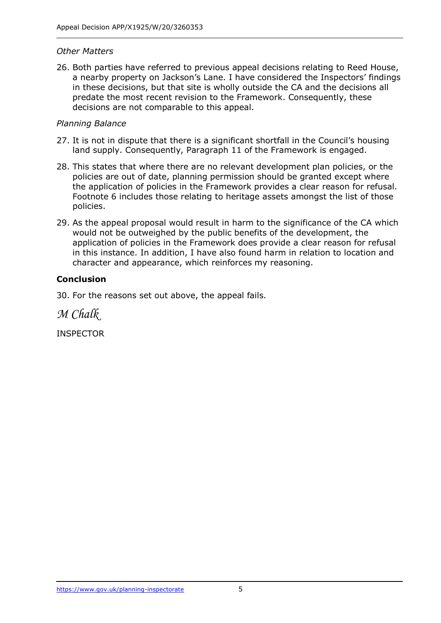#### *Other Matters*

26. Both parties have referred to previous appeal decisions relating to Reed House, a nearby property on Jackson's Lane. I have considered the Inspectors' findings in these decisions, but that site is wholly outside the CA and the decisions all predate the most recent revision to the Framework. Consequently, these decisions are not comparable to this appeal.

#### *Planning Balance*

- 27. It is not in dispute that there is a significant shortfall in the Council's housing land supply. Consequently, Paragraph 11 of the Framework is engaged.
- 28. This states that where there are no relevant development plan policies, or the policies are out of date, planning permission should be granted except where the application of policies in the Framework provides a clear reason for refusal. Footnote 6 includes those relating to heritage assets amongst the list of those policies.
- 29. As the appeal proposal would result in harm to the significance of the CA which would not be outweighed by the public benefits of the development, the application of policies in the Framework does provide a clear reason for refusal in this instance. In addition, I have also found harm in relation to location and character and appearance, which reinforces my reasoning.

## **Conclusion**

30. For the reasons set out above, the appeal fails.

*M Chalk*

INSPECTOR